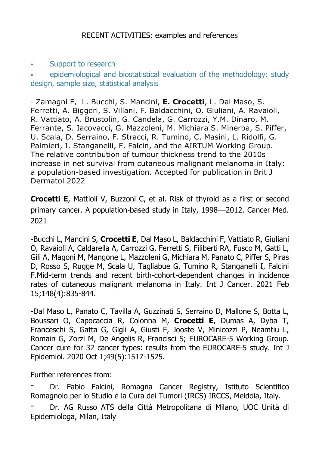## . Support to research

epidemiological and biostatistical evaluation of the methodology: study design, sample size, statistical analysis

- Zamagni F, L. Bucchi, S. Mancini, **E. Crocetti**, L. Dal Maso, S. Ferretti, A. Biggeri, S. Villani, F. Baldacchini, O. Giuliani, A. Ravaioli, R. Vattiato, A. Brustolin, G. Candela, G. Carrozzi, Y.M. Dinaro, M. Ferrante, S. Iacovacci, G. Mazzoleni, M. Michiara S. Minerba, S. Piffer, U. Scala, D. Serraino, F. Stracci, R. Tumino, C. Masini, L. Ridolfi, G. Palmieri, I. Stanganelli, F. Falcin, and the AIRTUM Working Group. The relative contribution of tumour thickness trend to the 2010s increase in net survival from cutaneous malignant melanoma in Italy: a population-based investigation. Accepted for publication in Brit J Dermatol 2022

**Crocetti E**, Mattioli V, Buzzoni C, et al. Risk of thyroid as a first or second primary cancer. A population-based study in Italy, 1998––2012. Cancer Med. 2021

-Bucchi L, Mancini S, **Crocetti E**, Dal Maso L, Baldacchini F, Vattiato R, Giuliani O, Ravaioli A, Caldarella A, Carrozzi G, Ferretti S, Filiberti RA, Fusco M, Gatti L, Gili A, Magoni M, Mangone L, Mazzoleni G, Michiara M, Panato C, Piffer S, Piras D, Rosso S, Rugge M, Scala U, Tagliabue G, Tumino R, Stanganelli I, Falcini F.Mid-term trends and recent birth-cohort-dependent changes in incidence rates of cutaneous malignant melanoma in Italy. Int J Cancer. 2021 Feb 15;148(4):835-844.

-Dal Maso L, Panato C, Tavilla A, Guzzinati S, Serraino D, Mallone S, Botta L, Boussari O, Capocaccia R, Colonna M, **Crocetti E**, Dumas A, Dyba T, Franceschi S, Gatta G, Gigli A, Giusti F, Jooste V, Minicozzi P, Neamtiu L, Romain G, Zorzi M, De Angelis R, Francisci S; EUROCARE-5 Working Group. Cancer cure for 32 cancer types: results from the EUROCARE-5 study. Int J Epidemiol. 2020 Oct 1;49(5):1517-1525.

Further references from:

Dr. Fabio Falcini, Romagna Cancer Registry, Istituto Scientifico Romagnolo per lo Studio e la Cura dei Tumori (IRCS) IRCCS, Meldola, Italy.

- Dr. AG Russo ATS della Città Metropolitana di Milano, UOC Unità di Epidemiologa, Milan, Italy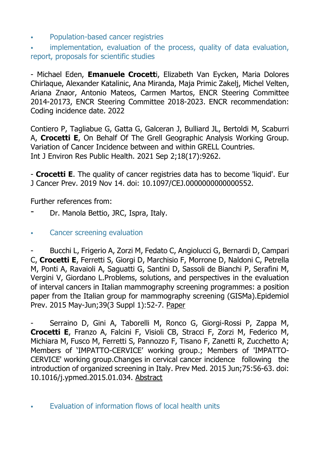! Population-based cancer registries

implementation, evaluation of the process, quality of data evaluation, report, proposals for scientific studies

- Michael Eden, **Emanuele Crocett**i, Elizabeth Van Eycken, Maria Dolores Chirlaque, Alexander Katalinic, Ana Miranda, Maja Primic Zakelj, Michel Velten, Ariana Znaor, Antonio Mateos, Carmen Martos, ENCR Steering Committee 2014-20173, ENCR Steering Committee 2018-2023. ENCR recommendation: Coding incidence date. 2022

Contiero P, Tagliabue G, Gatta G, Galceran J, Bulliard JL, Bertoldi M, Scaburri A, **Crocetti E**, On Behalf Of The Grell Geographic Analysis Working Group. Variation of Cancer Incidence between and within GRELL Countries. Int J Environ Res Public Health. 2021 Sep 2;18(17):9262.

- **Crocetti E**. The quality of cancer registries data has to become 'liquid'. Eur J Cancer Prev. 2019 Nov 14. doi: 10.1097/CEJ.0000000000000552.

Further references from:

- Dr. Manola Bettio, JRC, Ispra, Italy.
- . Cancer screening evaluation

- Bucchi L, Frigerio A, Zorzi M, Fedato C, Angiolucci G, Bernardi D, Campari C, **Crocetti E**, Ferretti S, Giorgi D, Marchisio F, Morrone D, Naldoni C, Petrella M, Ponti A, Ravaioli A, Saguatti G, Santini D, Sassoli de Bianchi P, Serafini M, Vergini V, Giordano L.Problems, solutions, and perspectives in the evaluation of interval cancers in Italian mammography screening programmes: a position paper from the Italian group for mammography screening (GISMa).Epidemiol Prev. 2015 May-Jun;39(3 Suppl 1):52-7. Paper

Serraino D, Gini A, Taborelli M, Ronco G, Giorgi-Rossi P, Zappa M, **Crocetti E**, Franzo A, Falcini F, Visioli CB, Stracci F, Zorzi M, Federico M, Michiara M, Fusco M, Ferretti S, Pannozzo F, Tisano F, Zanetti R, Zucchetto A; Members of 'IMPATTO-CERVICE' working group.; Members of 'IMPATTO-CERVICE' working group.Changes in cervical cancer incidence following the introduction of organized screening in Italy. Prev Med. 2015 Jun;75:56-63. doi: 10.1016/j.ypmed.2015.01.034. Abstract

. Evaluation of information flows of local health units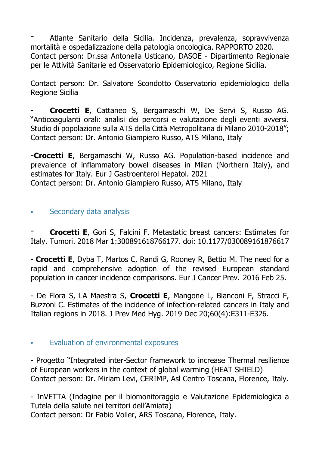- Atlante Sanitario della Sicilia. Incidenza, prevalenza, sopravvivenza mortalità e ospedalizzazione della patologia oncologica. RAPPORTO 2020. Contact person: Dr.ssa Antonella Usticano, DASOE - Dipartimento Regionale per le Attività Sanitarie ed Osservatorio Epidemiologico, Regione Sicilia.

Contact person: Dr. Salvatore Scondotto Osservatorio epidemiologico della Regione Sicilia

- **Crocetti E**, Cattaneo S, Bergamaschi W, De Servi S, Russo AG. "Anticoagulanti orali: analisi dei percorsi e valutazione degli eventi avversi. Studio di popolazione sulla ATS della Città Metropolitana di Milano 2010-2018"; Contact person: Dr. Antonio Giampiero Russo, ATS Milano, Italy

**-Crocetti E**, Bergamaschi W, Russo AG. Population-based incidence and prevalence of inflammatory bowel diseases in Milan (Northern Italy), and estimates for Italy. Eur J Gastroenterol Hepatol. 2021 Contact person: Dr. Antonio Giampiero Russo, ATS Milano, Italy

## . Secondary data analysis

- **Crocetti E**, Gori S, Falcini F. Metastatic breast cancers: Estimates for Italy. Tumori. 2018 Mar 1:300891618766177. doi: 10.1177/030089161876617

- **Crocetti E**, Dyba T, Martos C, Randi G, Rooney R, Bettio M. The need for a rapid and comprehensive adoption of the revised European standard population in cancer incidence comparisons. Eur J Cancer Prev. 2016 Feb 25.

- De Flora S, LA Maestra S, **Crocetti E**, Mangone L, Bianconi F, Stracci F, Buzzoni C. Estimates of the incidence of infection-related cancers in Italy and Italian regions in 2018. J Prev Med Hyg. 2019 Dec 20;60(4):E311-E326.

## ! Evaluation of environmental exposures

- Progetto "Integrated inter-Sector framework to increase Thermal resilience of European workers in the context of global warming (HEAT SHIELD) Contact person: Dr. Miriam Levi, CERIMP, Asl Centro Toscana, Florence, Italy.

- InVETTA (Indagine per il biomonitoraggio e Valutazione Epidemiologica a Tutela della salute nei territori dell'Amiata) Contact person: Dr Fabio Voller, ARS Toscana, Florence, Italy.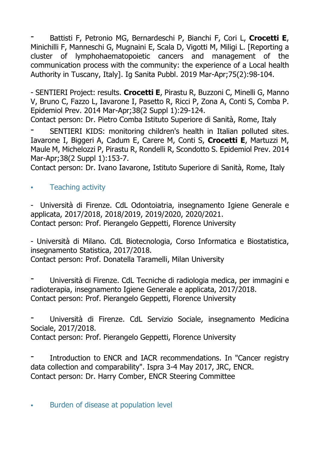- Battisti F, Petronio MG, Bernardeschi P, Bianchi F, Cori L, **Crocetti E**, Minichilli F, Manneschi G, Mugnaini E, Scala D, Vigotti M, Miligi L. [Reporting a cluster of lymphohaematopoietic cancers and management of the communication process with the community: the experience of a Local health Authority in Tuscany, Italy]. Ig Sanita Pubbl. 2019 Mar-Apr;75(2):98-104.

- SENTIERI Project: results. **Crocetti E**, Pirastu R, Buzzoni C, Minelli G, Manno V, Bruno C, Fazzo L, Iavarone I, Pasetto R, Ricci P, Zona A, Conti S, Comba P. Epidemiol Prev. 2014 Mar-Apr;38(2 Suppl 1):29-124.

Contact person: Dr. Pietro Comba Istituto Superiore di Sanità, Rome, Italy

- SENTIERI KIDS: monitoring children's health in Italian polluted sites. Iavarone I, Biggeri A, Cadum E, Carere M, Conti S, **Crocetti E**, Martuzzi M, Maule M, Michelozzi P, Pirastu R, Rondelli R, Scondotto S. Epidemiol Prev. 2014 Mar-Apr;38(2 Suppl 1):153-7.

Contact person: Dr. Ivano Iavarone, Istituto Superiore di Sanità, Rome, Italy

. Teaching activity

- Università di Firenze. CdL Odontoiatria, insegnamento Igiene Generale e applicata, 2017/2018, 2018/2019, 2019/2020, 2020/2021. Contact person: Prof. Pierangelo Geppetti, Florence University

- Università di Milano. CdL Biotecnologia, Corso Informatica e Biostatistica, insegnamento Statistica, 2017/2018.

Contact person: Prof. Donatella Taramelli, Milan University

- Università di Firenze. CdL Tecniche di radiologia medica, per immagini e radioterapia, insegnamento Igiene Generale e applicata, 2017/2018. Contact person: Prof. Pierangelo Geppetti, Florence University

- Università di Firenze. CdL Servizio Sociale, insegnamento Medicina Sociale, 2017/2018.

Contact person: Prof. Pierangelo Geppetti, Florence University

Introduction to ENCR and IACR recommendations. In "Cancer registry data collection and comparability". Ispra 3-4 May 2017, JRC, ENCR. Contact person: Dr. Harry Comber, ENCR Steering Committee

**.** Burden of disease at population level